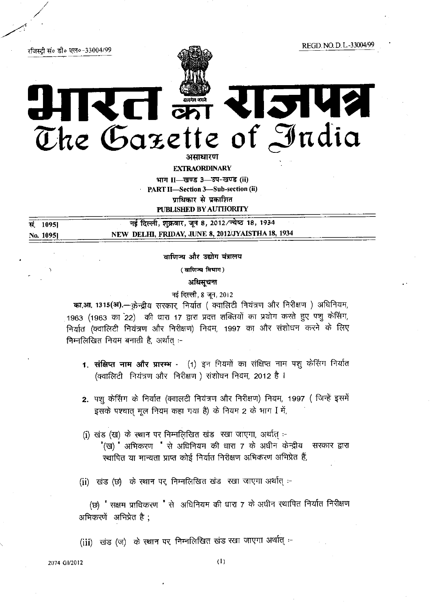रजिस्टी सं० डी० एल०-33004/99

REGD NO.D L-33004/99



# 2142 **VCI ONT** The Gazette of India

असाधारण

**EXTRAORDINARY** भाग II-खण्ड 3-उप-खण्ड (ii) PART II-Section 3-Sub-section (ii) प्राधिकार से प्रकाशित PUBLISHED BY AUTHORITY

नई दिल्ली, शुक्रवार, जून 8, 2012/ज्येष्ठ 18, 1934 सं. 10951 NEW DELHI, FRIDAY, JUNE 8, 2012/JYAISTHA 18, 1934 No. 10951

वाणिज्य और उद्योग मंत्रालय

( वाणिज्य विभाग)

अधिसूचना

नई दिल्ली, 8 जून, 2012

का.आ. 1315(अ).- क्रेन्द्रीय सरकार, निर्यात ( क्वालिटी नियंत्रण और निरीक्षण ) अधिनियम, 1963 (1963 का 22) की धारा 17 द्वारा प्रदत्त शक्तियों का प्रयोग करते हुए पशु केसिंग, निर्यात (क्वालिटी नियंत्रण और निरीक्षण) नियम, 1997 का और संशोधन करने के लिए निम्नलिखित नियम बनाती है, अर्थात :-

- 1. संक्षिप्त नाम और प्रारम्भ (1) इन नियमों का संक्षिप्त नाम पशु केरिंग निर्यात (क्वालिटी) नियंत्रण और निरीक्षण) संशोधन नियम, 2012 है।
- 2. पशु केसिंग के निर्यात (क्वालटी नियंत्रण और निरीक्षण) नियम, 1997 ( जिन्हें इसमें इसके पश्चात मूल नियम कहा गया है) के नियम 2 के भाग I में,
- (i) खंड (ख) के स्थान पर निम्नलिखित खंड रखा जाएगा, अर्थात् :-"(ख) " अभिकरण " से अधिनियम की धारा 7 के अधीन केन्द्रीय सरकार द्वारा स्थापित या मान्यता प्राप्त कोई निर्यात निरीक्षण अभिकरण अभिप्रेत हैं,

(ji) खंड (छ) के स्थान पर, निम्नलिखित खंड रखा जाएगा अर्थात् :-

(छ) " सक्षम प्राधिकरण " से अधिनियम की धारा 7 के अधीन स्थापित निर्यात निरीक्षण अभिकरणें अभिप्रेत है ;

(iii) खंड (ज) के स्थान पर निम्नलिखित खंड रखा जाएगा अर्थात् :-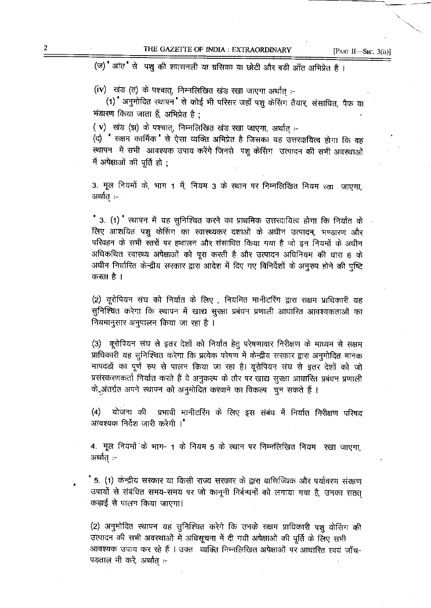(ज) आंत से पशु की श्वासनली या ग्रसिका या छोटी और बड़ी ऑंत अभिप्रेत हैं।

(iv) खंड (त) के पश्चात्, निम्नलिखित खंड रखा जाएगा अर्थात् :-

(1) अनुमोदित स्थापन से कोई भी परिसर जहाँ पशु केरिंग तैयार, संसाधित, पैक या भंडारण किया जाता हैं, अभिप्रेत है :

(v) खंड (झ) के पश्चात्, निम्नलिखित खंड रखा जाएगा, अर्थात् :-

(द) सक्षम कार्मिक से ऐसा व्यक्ति अभिप्रेत है जिसका यह उत्तरदायित्व होगा कि वह स्थापन में सभी आवश्यक उपाय करेंगे जिनसे पशु केसिंग उत्पादन की सभी अवस्थाओं में अपेक्षाओं की पूर्ति हो :

3. मूल नियमों के, भाग 1 में, नियम 3 के स्थान पर निम्नलिखित नियम रखा जाएगा, अर्थात :-

" 3. (1) " स्थापन में यह सुनिश्चित करने का प्राथमिक उत्तरदायित्व होगा कि निर्यात के लिए आशयित पश् केसिंग का स्वास्थ्यकर दशाओं के अधीन उत्पादन, भण्डारण और परिवहन के सभी स्तरों पर हथालन और संसाधित किया गया है जो इन नियमों के अधीन अधिकथित स्वास्थ्य अपेक्षाओं को पूरा करती है और उत्पादन अधिनियम की धारा 6 के अधीन निर्धारित केन्द्रीय सरकार द्वारा आदेश में दिए गए विनिर्देशों के अनूरुप होने की पुष्टि करता है ।

(2) यूरोपियन संघ को निर्यात के लिए , नियमित मानीटरिंग द्वारा सक्षम प्राधिकारी यह सुनिश्चित करेगा कि स्थापन में खाद्य सुरक्षा प्रबंधन प्रणाली आधारित आवश्यकताओं का नियमानुसार अनुपालन किया जा रहा है ।

(3) यूरोपियन संघ से इतर देशों को निर्यात हेतू परेषणावार निरीक्षण के माध्यम से सक्षम प्राधिकारी यह सुनिश्चित करेगा कि प्रत्येक परेषण में केन्द्रीय सरकार द्वारा अनुमोदित मानक मापदंडों का पूर्ण रुप से पालन किया जा रहा है। यूरोपियन संघ से इतर देशों को जो प्रसंस्करणकर्ता निर्यात करते हैं वे अनुकत्म के तौर पर खाद्य सूरक्षा आधारित प्रबंधन प्रणाली के अंतर्गत अपने स्थापन को अनुमोदित करवाने का विकल्प) चुन सकते हैं ।

प्रभावी मानीटरिंग के लिए इस संबंध में निर्यात निरीक्षण परिषद  $\left( 4\right)$ योजना की आवश्यक निर्देश जारी करेगी ।"

4. मूल नियमों के भाग- 1 के नियम 5 के स्थान पर निम्नलिखित नियम- रखा जाएगा. अर्थात् :-

5. (1) केन्द्रीय सरकार या किसी राज्य सरकार के द्वारा वाणिज्यिक और पर्यावरण संरक्षण उपायों से संबंधित समय-समय पर जो कानूनी निर्बन्धनों को लगाया गया है, उनका सतत कड़ाई से पालन किया जाएगा।

(2) अनुमोदित स्थापन यह सुनिश्चित करेगे कि उनके सक्षम प्राधिकारी पशु केसिंग की उत्पादन की सभी अवस्थाओं में अधिसूचना में दी गयी अपेक्षाओं की पूर्ति के लिए सभी आवश्यक उपाय कर रहे हैं । उक्त व्यक्ति निम्नलिखित अपेक्षाओं पर आधारित स्वयं जाँच-पड़ताल भी करें, अर्थात :-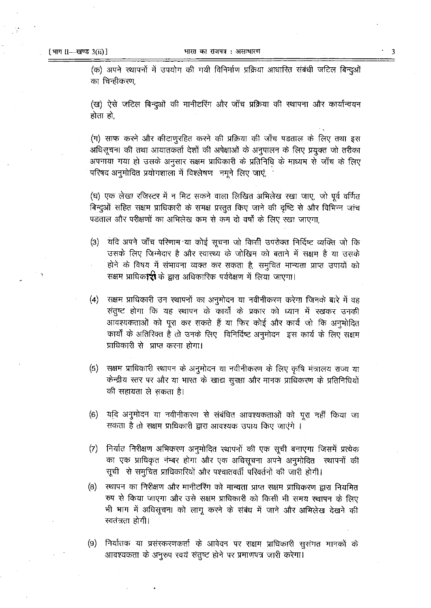(क) अपने स्थापनों में उपयोग की गयी विनिर्माण प्रक्रिया आधारित संबंधी जटिल बिन्दुओं का चिन्हीकरण

(ख) ऐसे जटिल बिन्दुओं की मानीटरिंग और जाँच प्रक्रिया की स्थापना और कार्यान्वयन होता हो,

(ग) साफ करने और कीटाणुरहित करने की प्रक्रिया की जाँच पडताल के लिए तथा इस अधिसूचना की तथा आयातकर्ता देशों की अपेक्षाओं के अनुपालन के लिए प्रयुक्त जो तरीका अपनाया गया हो उसके अनुसार सक्षम प्राधिकारी के प्रतिनिधि के माध्यम से जाँच के लिए परिषद अनुमोदित प्रयोगशाला में विश्लेषण नमूने लिए जाएं,

(घ) एक लेखा रजिस्टर में न मिट सकने वाला लिखित अभिलेख रखा जाए, जो पूर्व वर्णित बिन्दुओं सहित सक्षम प्राधिकारी के समक्ष प्रस्तुत किए जाने की दृष्टि से और विभिन्न जांच पड़ताल और परीक्षणों का अभिलेख कम से कम दो वर्षों के लिए रखा जाएगा.

- यदि अपने जाँच परिणाम या कोई सूचना जो किसी उपरोक्त निर्दिष्ट व्यक्ति जो कि  $(3)$ उसके लिए जिम्मेदार है और स्वास्थ्य के जोखिम को बताने में सक्षम है या उसके होने के विषय में संभावना व्यक्त कर सकता है, समुचित मान्यता प्राप्त उपायों को सक्षम प्राधिकारी के द्वारा अधिकारिक पर्यवेक्षण में लिया जाएगा।
- सक्षम प्राधिकारी उन स्थापनों का अनुमोदन या नवीनीकरण करेगा जिनके बारे में वह  $\left( 4\right)$ संतुष्ट होगा कि यह स्थापन के कार्यों के प्रकार को ध्यान में रखकर उनकी आवश्यकताओं को पूरा कर सकते हैं या फिर कोई और कार्य जो कि अनुमोदित कार्यों के अतिरिक्त है तो उनके लिए विनिर्दिष्ट अनुमोदन इस कार्य के लिए सक्षम प्राधिकारी से प्राप्त करना होगा।
- सक्षम प्राधिकारी स्थापन के अनुमोदन या नवीनीकरण के लिए कृषि मंत्रालय राज्य या  $(5)$ केन्द्रीय स्तर पर और या भारत के खाद्य सुरक्षा और मानक प्राधिकरण के प्रतिनिधियों की सहायता ले सकता है।
- $(6)$ यदि अनुमोदन या नवीनीकरण से संबंधित आवश्यकताओं को पुरा नहीं किया जा सकता है तो सक्षम प्राधिकारी द्वारा आवश्यक उपाय किए जाएंगे ।
- $(7)$ निर्यात निरीक्षण अभिकरण अनुमोदित स्थापनों की एक सूची बनाएगा जिसमें प्रत्येक का एक प्राधिकृत नंम्बर होगा और एक अधिसूचना अपने अनुमोदित स्थापनों की सूची से समुचित प्राधिकारियों और पश्चातवर्ती परिवर्तनों की जारी होगी।
- स्थापन का निरीक्षण और मानीटरिंग को मान्यता प्राप्त सक्षम प्राधिकरण द्वारा नियमित  $(8)$ रुप से किया जाएगा और उसे सक्षम प्राधिकारी को किसी भी समय स्थापन के लिए भी भाग में अधिसूचना को लागू करने के संबंध में जाने और अभिलेख देखने की स्वतंत्रता होगी।
- निर्यातक या प्रसंस्करणकर्ता के आवेदन पर सक्षम प्राधिकारी सुसंगत मानकों के  $(9)$ आवश्यकता के अनुरुप स्वयं संतुष्ट होने पर प्रमाणपत्र जारी करेगा।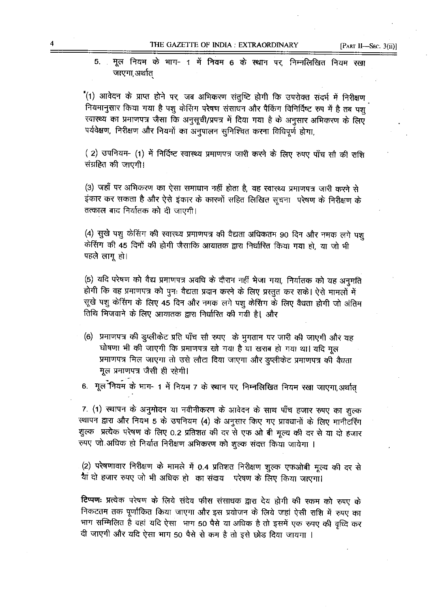THE GAZETTE OF INDIA : EXTRAORDINARY

मूल नियम के भाग- 1 में नियम 6 के स्थान पर, निम्नलिखित नियम रखा 5. जाएगा,अर्थात

(1) आवेदन के प्राप्त होने पर, जब अभिकरण संतुष्टि होगी कि उपरोक्त संदर्भ में निरीक्षण नियमानुसार किया गया है पशु केसिंग परेषण संसाधन और पैकिंग विनिर्दिष्ट रुप में है तब पशु स्वास्थ्य का प्रमाणपत्र जैसा कि अनुसूची/प्रपत्र में दिया गया है के अनुसार अभिकरण के लिए पर्यवेक्षण, निरीक्षण और नियमों का अनुपालन सुनिश्चित करना विधिपूर्ण होगा,

(2) उपनियम- (1) में निर्दिष्ट स्वास्थ्य प्रमाणपत्र जारी करने के लिए रुपए पाँच सौ की राशि संग्रहित की जाएगी।

(3) जहाँ पर अभिकरण का ऐसा समाधान नहीं होता है, वह स्वारथ्य प्रमाणपत्र जारी करने से इंकार कर सकता है और ऐसे इंकार के कारणों सहित लिखित सूचना परेषण के निरीक्षण के तत्काल बाद निर्यातक को दी जाएगी।

(4) सुखे पशु केसिंग की स्वास्थ्य प्रमाणपत्र की वैद्यता अधिकतम 90 दिन और नमक लगे पश केसिंग की 45 दिनों की होगी जैसाकि आयातक द्वारा निर्घारित किया गया हो, या जो भी पहले लागू हो।

(5) यदि परेषण को वैद्य प्रमाणपत्र अवधि के दौरान नहीं भेजा गया, निर्यातक को यह अनुमति होगी कि वह प्रमाणपत्र को पुनः वैद्यता प्रदान करने के लिए प्रस्तुत कर सके। ऐसे मामलों में सूखे पशु केरिंग्ग के लिए 45 दिन और नमक लगे पशु केंसिंग के लिए वैधता होगी जो अंतिम तिथि मिजवाने के लिए आयातक द्वारा निर्धारित की गयी है। और

(6) प्रमाणपत्र की झुप्लीकेट प्रति पाँच सौ रुपए) के भुगतान पर जारी की जाएगी और यह घोषणा भी की जाएगी कि प्रमाणपत्र खो गया है या खराब हो गया था। यदि मूल प्रमाणपत्र मिल जाएगा तो उसे लौटा दिया जाएगा और डुप्लीकेट प्रमाणपत्र की वैधता मूल प्रमाणपत्र जैसी ही रहेगी।

6. मूल नियम के भाग- 1 में नियम 7 के स्थान पर, निम्नलिखित नियम रखा जाएगा, अर्थात्

7. (1) स्थापन के अनुमोदन या नवीनीकरण के आवेदन के साथ पाँच हजार रुपए का शुल्क स्थापन द्वारा और नियम 5 के उपनियम (4) के अनुसार किए गए प्रावधानों के लिए मानीटरिंग शुल्क प्रत्येक परेषण के लिए 0.2 प्रतिशत की दर से एफ ओ बी मूल्य की दर से या दो हजार रुपए जो अधिक हो निर्यात निरीक्षण अभिकरण को शुल्क संदत्त किया जायेगा ।

(2) परेषणावार निरीक्षण के मामले में 0.4 प्रतिशत निरीक्षण शुल्क एफओबी मूल्य की दर से याँ दो हजार रुपए जो भी अधिक हो का संदाय परेषण के लिए किया जाएगा।

टिप्पणः प्रत्येक परेषण के लिये संदेय फीस संसाधक द्वारा देय होगी की रकम को रुपए के निकटतम तक पूर्णांकित किया जाएगा और इस प्रयोजन के लिये जहां ऐसी राशि में रुपए का भाग सम्मिलित है वहां यदि ऐसा भाग 50 पैसे या अधिक है तो इसमें एक रुपए की वृध्दि कर दी जाएगी और यदि ऐसा भाग 50 पैसे से कम है तो इसे छोड़ दिया जायगा ।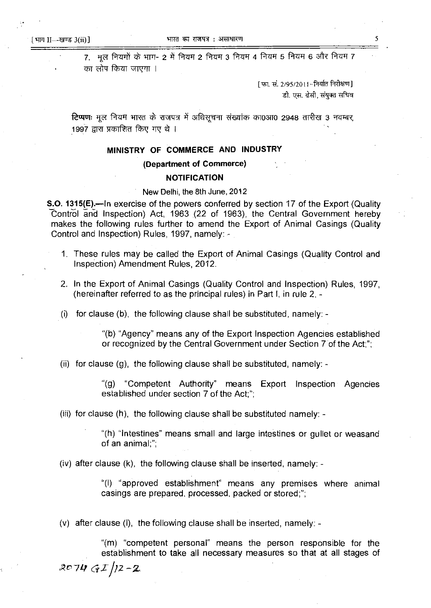7. मूल नियमों के भाग- 2 में नियम 2 नियम 3 नियम 4 नियम 5 नियम 6 और नियम 7 का लोप किया जाएगा ।

> [फा. सं. 2/95/2011--निर्यात निरीक्षण] डी. एस. ढेसी, संयुक्त सचिव

**टिप्पण:** मूल नियम भारत के राजपत्र में अधिसूचना संख्यांक का0आ0 2948 तारीख 3 नवम्बर, 1997 द्वारा प्रकाशित किए गए थे ।

## MINISTRY OF COMMERCE AND INDUSTRY

## (Department of Commerce)

#### NOTIFICATION

#### New Delhi, the 8th June, 2012

**S.O. 1315(E).—In exercise of the powers conferred by section 17 of the Export (Quality** Control and Inspection) Act, <sup>1963</sup> {22 of 1963), the Central Government hereby makes the following rules further to amend the Export of Animal Casings (Quality Control and Inspection) Rules, 1997, namely: -

- 1. These rules may be called the Export of Animal Casings (Quality Control and Inspection) Amendment Rules, 2012.
- 2. In the Export of Animal Casings (Quality Control and Inspection) Rules, 1997, (hereinafter referred to as the principal rules) in Part I, in rule 2, -
- (i) for clause (b), the following clause shall be substituted, namely: -

"(b) "Agency" means any of the Export Inspection Agencies established or recognized by the Central Government under Section 7 of the Act;";

(ii) for clause (g}, the following clause shall be substituted, namely: -

"(g) "Competent Authority" means Export Inspection Agencies established under section 7 of the Act;";

(iii) for clause (h), the following clause shall be substituted namely: -

"(h) "Intestines" means small and large intestines or gullet or weasand of an animal;";

(iv) after clause (k), the following clause shall be inserted, namely: -

"(I) "approved establishment" means any premises where animal casings are prepared. processed, packed or stored;";

(v) after clause (i), the following clause shall be inserted, namely:  $-$ 

"(m) "competent personal" means the person responsible for the establishment to take all necessary measures so that at all stages of  $2074$  GI  $/2 - 2$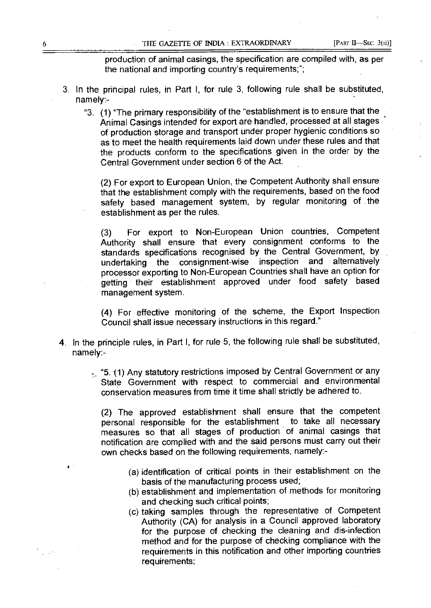production of animal casings, the specification are compiled with, as per the national and importing country's requirements;";

- 3. In the principal rules, in Part I, for rule 3, following rule shall be substituted, namely:-
	- "3. (1) "The primary responsibility of the "establishment is to ensure that the Animal Casings intended for export are handled, processed at all stages of production storage and transport under proper hygienic conditions so as to meet the health requirements laid down under these rules and that the products conform to the specifications given in the order by the Central Government under section 6 of the Act.

(2) For export to European Union, the Competent Authority shall ensure that the establishment comply with the requirements, based on the food safety based management system, by regular monitoring of the establishment as per the rules.

(3) For export to Non-European Union countries, Competent Authority shall ensure that every consignment conforms to the standards specifications recognised by the Central Government, by undertaking the consignment-wise inspection and alternatively processor exporting to Non-European Countries shall have an option for getting their establishment approved under food safety based management system.

(4) For effective monitoring of the scheme, the Export Inspection Council shall issue necessary instructions in this regard."

- 4. In the principle rules, in Part I, for rule 5, the following rule shall be substituted, namely:-
	- "5. (1) Any statutory restrictions imposed by Central Government or any State Government with respect to commercial and environmental conservation measures from time it time shall strictly be adhered to.

(2) The approved establishment shall ensure that the competent personal responsible for the establishment to take all necessary measures so that all stages of production of animal casings that notification are complied with and the said persons must carry out their own checks based on the following requirements, namely:-

- (a) identification of critical points in their establishment on the basis of the manufacturing process used;
- (b) establishment and implementation of methods for monitoring and checking such critical points;
- (c) taking samples through the representative of Competent Authority (CA) for analysis in <sup>a</sup> Council approved laboratory for the purpose of checking the cleaning and dis-infection method and for the purpose of checking compliance with the requirements in this notification and other importing countries requirements;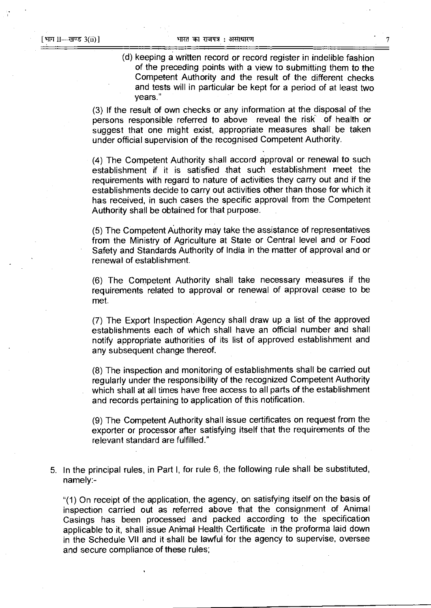(d) keeping <sup>a</sup> written record or record register in indelible fashion of the preceding points with <sup>a</sup> view to submitting them to the Competent Authority and the result of the different checks and tests will in particular be kept for <sup>a</sup> period of at least two years."

(3) If the result of own checks or any information at the disposal of the persons responsible referred to above reveal the risk' of health or suggest that one might exist, appropriate measures shall be taken under official supervision of the recognised Competent Authority.

(4) The Competent Authority shall accord approval or renewal to such establishment if it is satisfied that such establishment meet the requirements with regard to nature of activities they carry out and if the establishments decide to carry out activities other than those for which it has received, in such cases the specific approval from the Competent Authority shall be obtained for that purpose.

(5) The Competent Authoritymay take the assistance of representatives from the Ministry of Agriculture at State or Central level and or Food Safety and Standards Authority of India in the matter of approval and or renewal of establishment.

(6) The Competent Authority shall take necessary measures if the requirements related to approval or renewal of approval cease to be met.

(7) The Export Inspection Agency shall draw up <sup>a</sup> list of the approved establishments each of which shall have an official number and shall notify appropriate authorities of its list of approved establishment and any subsequent change thereof.

(8) The inspection and monitoring of establishments shall be carried out regularly under the responsibility of the recognized Competent Authority which shall at all times have free access to all parts of the establishment and records pertaining to application of this notification.

(9) The Competent Authority shall issue certificates on request from the exporter or processor after satisfying itself that the requirements of the relevant standard are fulfilled."

5. In the principal rules, in Part I, for rule 6, the following rule shall be substituted, namely:-

"(1) On receipt of the application, the agency, on satisfying itself on the basis of inspection carried out as referred above that the consignment of Animal Casings has been processed and packed according to the specification applicable to it, shall issue Animal Health Certificate in the proforma laid down in the Schedule VII and it shall be lawful for the agency to supervise, oversee and secure compliance of these rules;